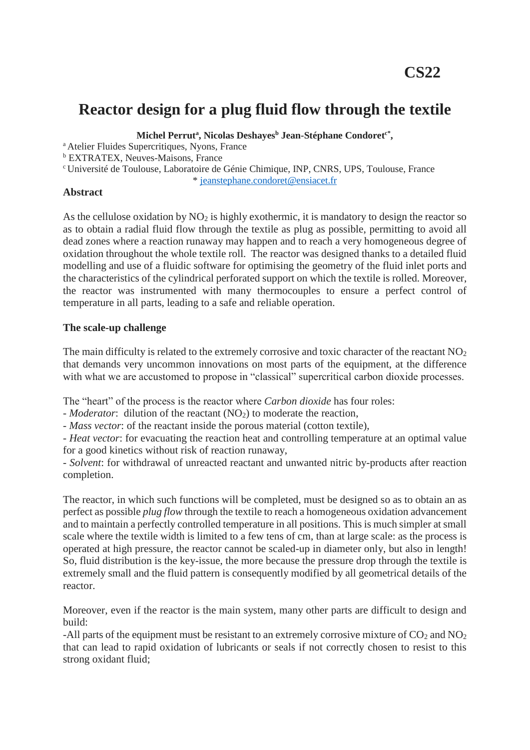# **Reactor design for a plug fluid flow through the textile**

**Michel Perrut<sup>a</sup> , Nicolas Deshayes<sup>b</sup> Jean-Stéphane Condoretc\* ,**

<sup>a</sup> Atelier Fluides Supercritiques, Nyons, France

<sup>b</sup> EXTRATEX, Neuves-Maisons, France

<sup>c</sup>Université de Toulouse, Laboratoire de Génie Chimique, INP, CNRS, UPS, Toulouse, France

\* [jeanstephane.condoret@ensiacet.fr](mailto:jeanstephane.condoret@ensiacet.fr)

## **Abstract**

As the cellulose oxidation by  $NO<sub>2</sub>$  is highly exothermic, it is mandatory to design the reactor so as to obtain a radial fluid flow through the textile as plug as possible, permitting to avoid all dead zones where a reaction runaway may happen and to reach a very homogeneous degree of oxidation throughout the whole textile roll. The reactor was designed thanks to a detailed fluid modelling and use of a fluidic software for optimising the geometry of the fluid inlet ports and the characteristics of the cylindrical perforated support on which the textile is rolled. Moreover, the reactor was instrumented with many thermocouples to ensure a perfect control of temperature in all parts, leading to a safe and reliable operation.

## **The scale-up challenge**

The main difficulty is related to the extremely corrosive and toxic character of the reactant  $NO<sub>2</sub>$ that demands very uncommon innovations on most parts of the equipment, at the difference with what we are accustomed to propose in "classical" supercritical carbon dioxide processes.

The "heart" of the process is the reactor where *Carbon dioxide* has four roles:

- *Moderator*: dilution of the reactant (NO<sub>2</sub>) to moderate the reaction,

- *Mass vector*: of the reactant inside the porous material (cotton textile),

- *Heat vector*: for evacuating the reaction heat and controlling temperature at an optimal value for a good kinetics without risk of reaction runaway,

- *Solvent*: for withdrawal of unreacted reactant and unwanted nitric by-products after reaction completion.

The reactor, in which such functions will be completed, must be designed so as to obtain an as perfect as possible *plug flow* through the textile to reach a homogeneous oxidation advancement and to maintain a perfectly controlled temperature in all positions. This is much simpler at small scale where the textile width is limited to a few tens of cm, than at large scale: as the process is operated at high pressure, the reactor cannot be scaled-up in diameter only, but also in length! So, fluid distribution is the key-issue, the more because the pressure drop through the textile is extremely small and the fluid pattern is consequently modified by all geometrical details of the reactor.

Moreover, even if the reactor is the main system, many other parts are difficult to design and build:

-All parts of the equipment must be resistant to an extremely corrosive mixture of  $CO<sub>2</sub>$  and  $NO<sub>2</sub>$ that can lead to rapid oxidation of lubricants or seals if not correctly chosen to resist to this strong oxidant fluid;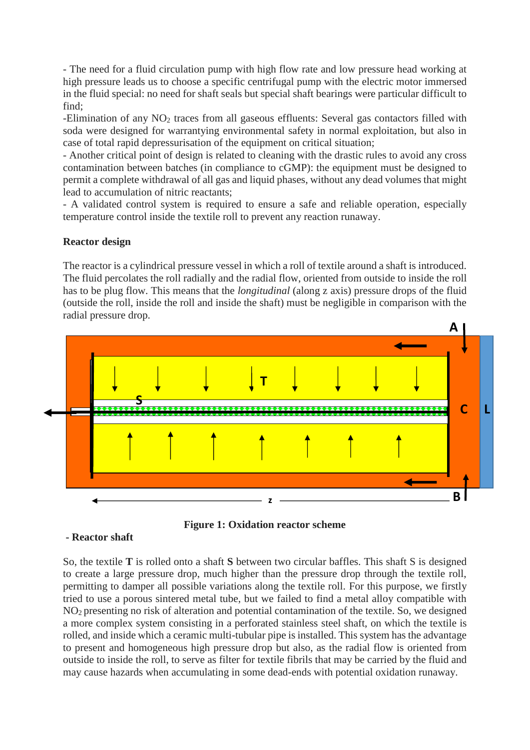- The need for a fluid circulation pump with high flow rate and low pressure head working at high pressure leads us to choose a specific centrifugal pump with the electric motor immersed in the fluid special: no need for shaft seals but special shaft bearings were particular difficult to find;

-Elimination of any NO<sub>2</sub> traces from all gaseous effluents: Several gas contactors filled with soda were designed for warrantying environmental safety in normal exploitation, but also in case of total rapid depressurisation of the equipment on critical situation;

- Another critical point of design is related to cleaning with the drastic rules to avoid any cross contamination between batches (in compliance to cGMP): the equipment must be designed to permit a complete withdrawal of all gas and liquid phases, without any dead volumes that might lead to accumulation of nitric reactants;

- A validated control system is required to ensure a safe and reliable operation, especially temperature control inside the textile roll to prevent any reaction runaway.

# **Reactor design**

The reactor is a cylindrical pressure vessel in which a roll of textile around a shaft is introduced. The fluid percolates the roll radially and the radial flow, oriented from outside to inside the roll has to be plug flow. This means that the *longitudinal* (along z axis) pressure drops of the fluid (outside the roll, inside the roll and inside the shaft) must be negligible in comparison with the radial pressure drop.





### **- Reactor shaft**

So, the textile **T** is rolled onto a shaft **S** between two circular baffles. This shaft S is designed to create a large pressure drop, much higher than the pressure drop through the textile roll, permitting to damper all possible variations along the textile roll. For this purpose, we firstly tried to use a porous sintered metal tube, but we failed to find a metal alloy compatible with NO<sup>2</sup> presenting no risk of alteration and potential contamination of the textile. So, we designed a more complex system consisting in a perforated stainless steel shaft, on which the textile is rolled, and inside which a ceramic multi-tubular pipe is installed. This system has the advantage to present and homogeneous high pressure drop but also, as the radial flow is oriented from outside to inside the roll, to serve as filter for textile fibrils that may be carried by the fluid and may cause hazards when accumulating in some dead-ends with potential oxidation runaway.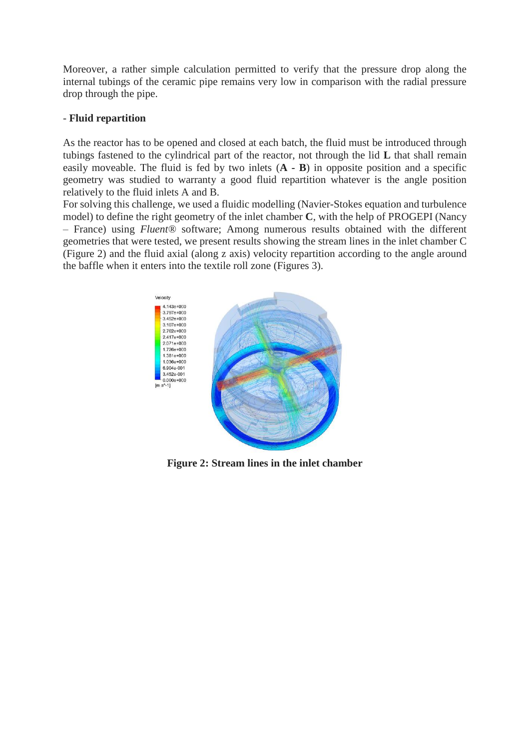Moreover, a rather simple calculation permitted to verify that the pressure drop along the internal tubings of the ceramic pipe remains very low in comparison with the radial pressure drop through the pipe.

### - **Fluid repartition**

As the reactor has to be opened and closed at each batch, the fluid must be introduced through tubings fastened to the cylindrical part of the reactor, not through the lid **L** that shall remain easily moveable. The fluid is fed by two inlets (**A - B**) in opposite position and a specific geometry was studied to warranty a good fluid repartition whatever is the angle position relatively to the fluid inlets A and B.

For solving this challenge, we used a fluidic modelling (Navier-Stokes equation and turbulence model) to define the right geometry of the inlet chamber **C**, with the help of PROGEPI (Nancy – France) using *Fluent®* software; Among numerous results obtained with the different geometries that were tested, we present results showing the stream lines in the inlet chamber C (Figure 2) and the fluid axial (along z axis) velocity repartition according to the angle around the baffle when it enters into the textile roll zone (Figures 3).



**Figure 2: Stream lines in the inlet chamber**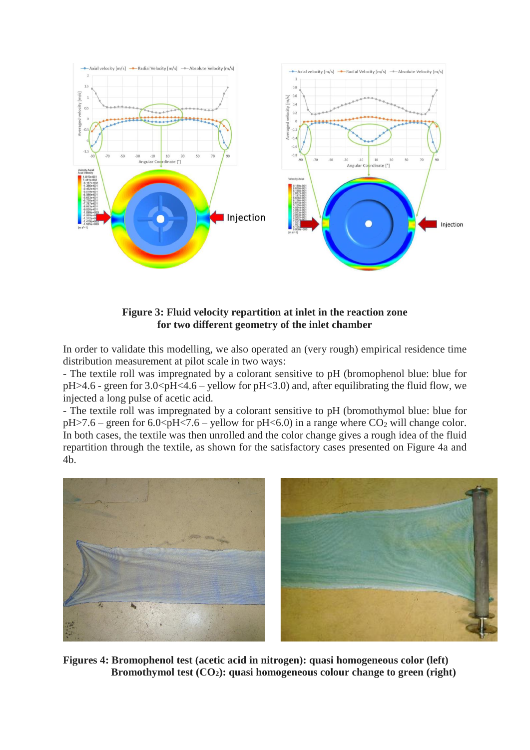

**Figure 3: Fluid velocity repartition at inlet in the reaction zone for two different geometry of the inlet chamber**

In order to validate this modelling, we also operated an (very rough) empirical residence time distribution measurement at pilot scale in two ways:

- The textile roll was impregnated by a colorant sensitive to pH (bromophenol blue: blue for  $pH > 4.6$  - green for  $3.0 < pH < 4.6$  – yellow for  $pH < 3.0$  and, after equilibrating the fluid flow, we injected a long pulse of acetic acid.

- The textile roll was impregnated by a colorant sensitive to pH (bromothymol blue: blue for  $pH > 7.6$  – green for 6.0 <  $pH < 7.6$  – yellow for  $pH < 6.0$  in a range where CO<sub>2</sub> will change color. In both cases, the textile was then unrolled and the color change gives a rough idea of the fluid repartition through the textile, as shown for the satisfactory cases presented on Figure 4a and 4b.



**Figures 4: Bromophenol test (acetic acid in nitrogen): quasi homogeneous color (left) Bromothymol test (CO2): quasi homogeneous colour change to green (right)**